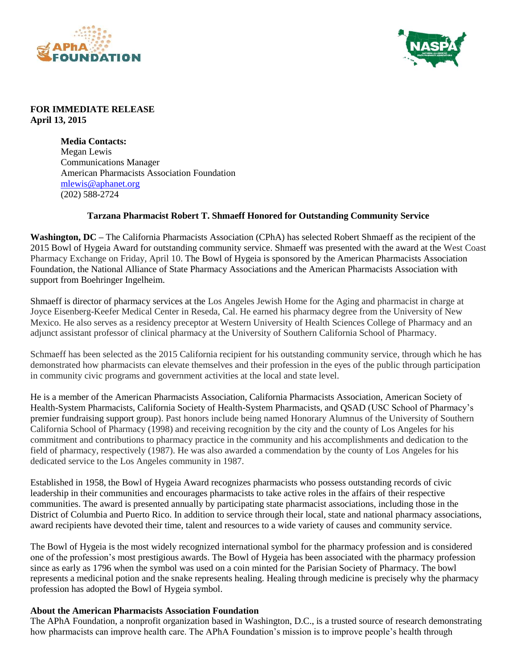



## **FOR IMMEDIATE RELEASE April 13, 2015**

**Media Contacts:** Megan Lewis Communications Manager American Pharmacists Association Foundation [mlewis@aphanet.org](mailto:mlewis@aphanet.org) (202) 588-2724

## **Tarzana Pharmacist Robert T. Shmaeff Honored for Outstanding Community Service**

**Washington, DC –** The California Pharmacists Association (CPhA) has selected Robert Shmaeff as the recipient of the 2015 Bowl of Hygeia Award for outstanding community service. Shmaeff was presented with the award at the West Coast Pharmacy Exchange on Friday, April 10. The Bowl of Hygeia is sponsored by the American Pharmacists Association Foundation, the National Alliance of State Pharmacy Associations and the American Pharmacists Association with support from Boehringer Ingelheim.

Shmaeff is director of pharmacy services at the Los Angeles Jewish Home for the Aging and pharmacist in charge at Joyce Eisenberg-Keefer Medical Center in Reseda, Cal. He earned his pharmacy degree from the University of New Mexico. He also serves as a residency preceptor at Western University of Health Sciences College of Pharmacy and an adjunct assistant professor of clinical pharmacy at the University of Southern California School of Pharmacy.

Schmaeff has been selected as the 2015 California recipient for his outstanding community service, through which he has demonstrated how pharmacists can elevate themselves and their profession in the eyes of the public through participation in community civic programs and government activities at the local and state level.

He is a member of the American Pharmacists Association, California Pharmacists Association, American Society of Health-System Pharmacists, California Society of Health-System Pharmacists, and QSAD (USC School of Pharmacy's premier fundraising support group). Past honors include being named Honorary Alumnus of the University of Southern California School of Pharmacy (1998) and receiving recognition by the city and the county of Los Angeles for his commitment and contributions to pharmacy practice in the community and his accomplishments and dedication to the field of pharmacy, respectively (1987). He was also awarded a commendation by the county of Los Angeles for his dedicated service to the Los Angeles community in 1987.

Established in 1958, the Bowl of Hygeia Award recognizes pharmacists who possess outstanding records of civic leadership in their communities and encourages pharmacists to take active roles in the affairs of their respective communities. The award is presented annually by participating state pharmacist associations, including those in the District of Columbia and Puerto Rico. In addition to service through their local, state and national pharmacy associations, award recipients have devoted their time, talent and resources to a wide variety of causes and community service.

The Bowl of Hygeia is the most widely recognized international symbol for the pharmacy profession and is considered one of the profession's most prestigious awards. The Bowl of Hygeia has been associated with the pharmacy profession since as early as 1796 when the symbol was used on a coin minted for the Parisian Society of Pharmacy. The bowl represents a medicinal potion and the snake represents healing. Healing through medicine is precisely why the pharmacy profession has adopted the Bowl of Hygeia symbol.

## **About the American Pharmacists Association Foundation**

The APhA Foundation, a nonprofit organization based in Washington, D.C., is a trusted source of research demonstrating how pharmacists can improve health care. The APhA Foundation's mission is to improve people's health through